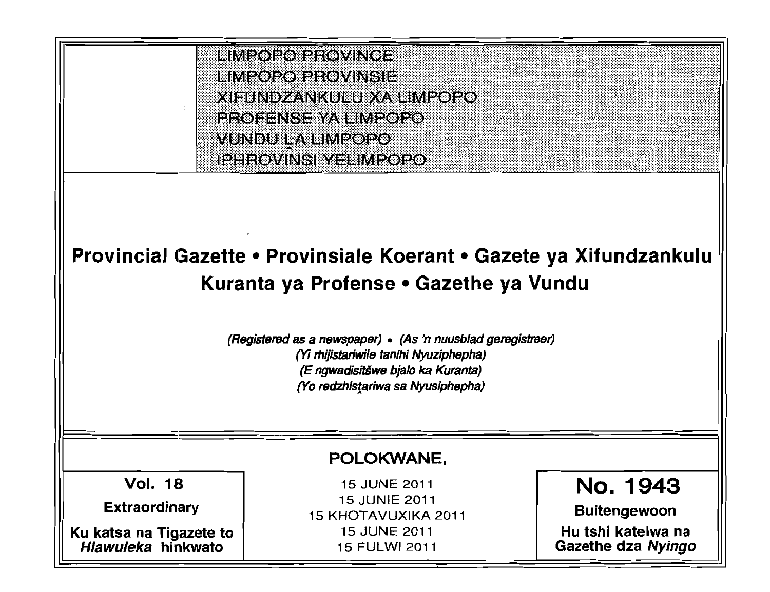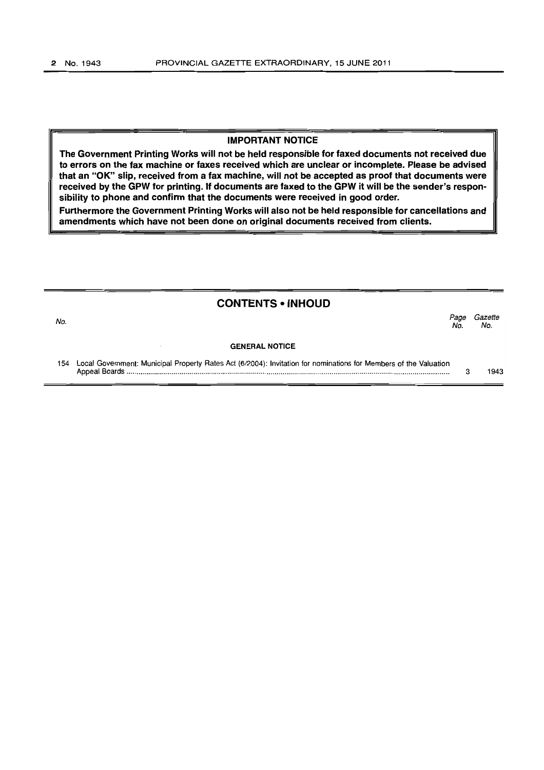## **IMPORTANT NOTICE**

**The Government Printing Works will not be held responsible for faxed documents not received due to errors on the fax machine or faxes received which are unclear or incomplete. Please be advised that an "OK" slip, received from a fax machine, will not be accepted as proof that documents were received by the GPW for printing. If documents are faxed to the GPW it will be the sender's responsibility to phone and confirm that the documents were received in good order.** 

**Furthermore the Government Printing Works will also not be held responsible for cancellations and amendments which have not been done on original documents received from clients.** 

## **CONTENTS • INHOUD**

| No. |                                                                                                                  | Page<br>No. | Gazette<br>No. |
|-----|------------------------------------------------------------------------------------------------------------------|-------------|----------------|
|     | <b>GENERAL NOTICE</b>                                                                                            |             |                |
| 154 | Local Government: Municipal Property Rates Act (6/2004): Invitation for nominations for Members of the Valuation |             | 1943           |